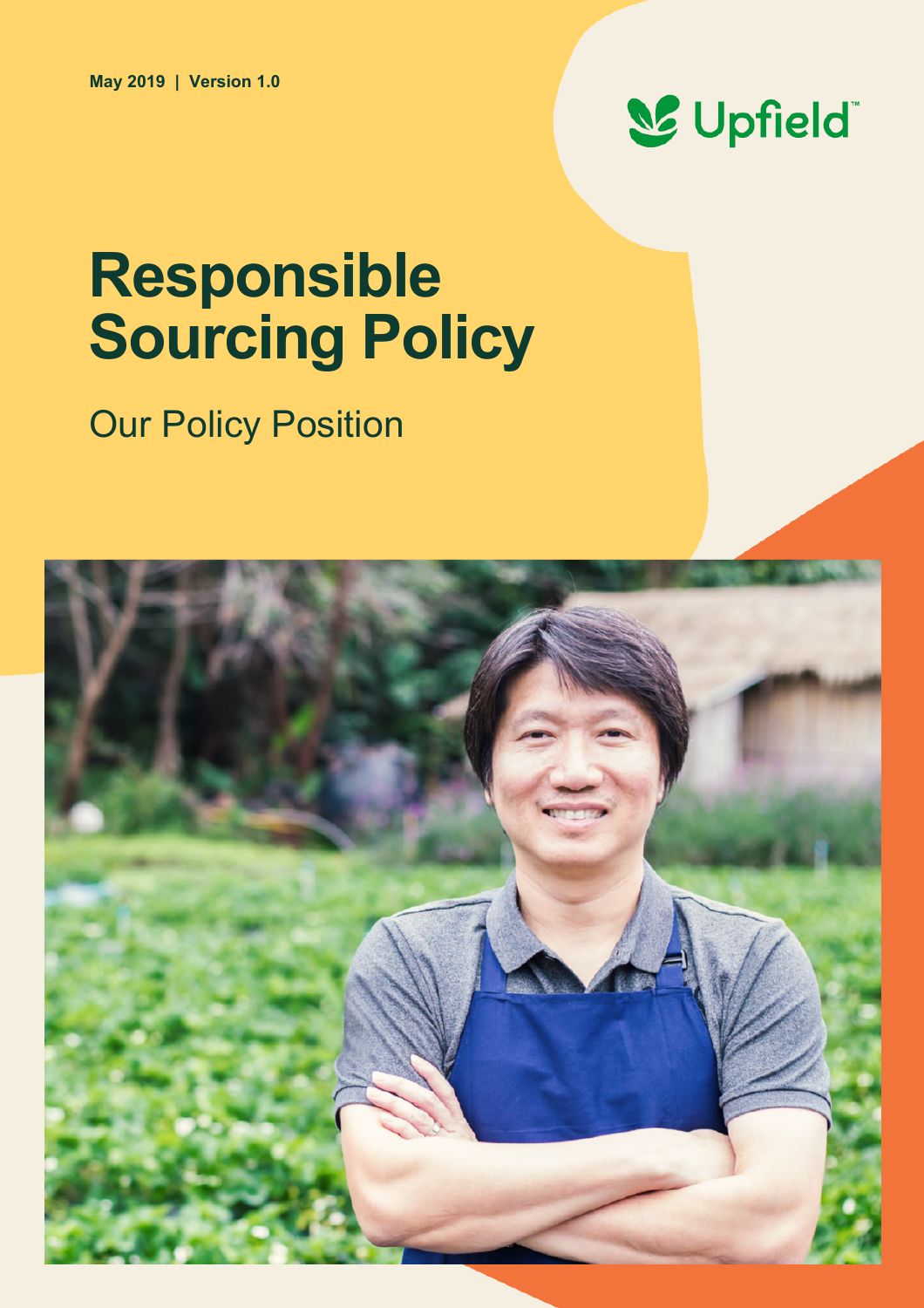

# **Responsible Sourcing Policy**

# **Our Policy Position**

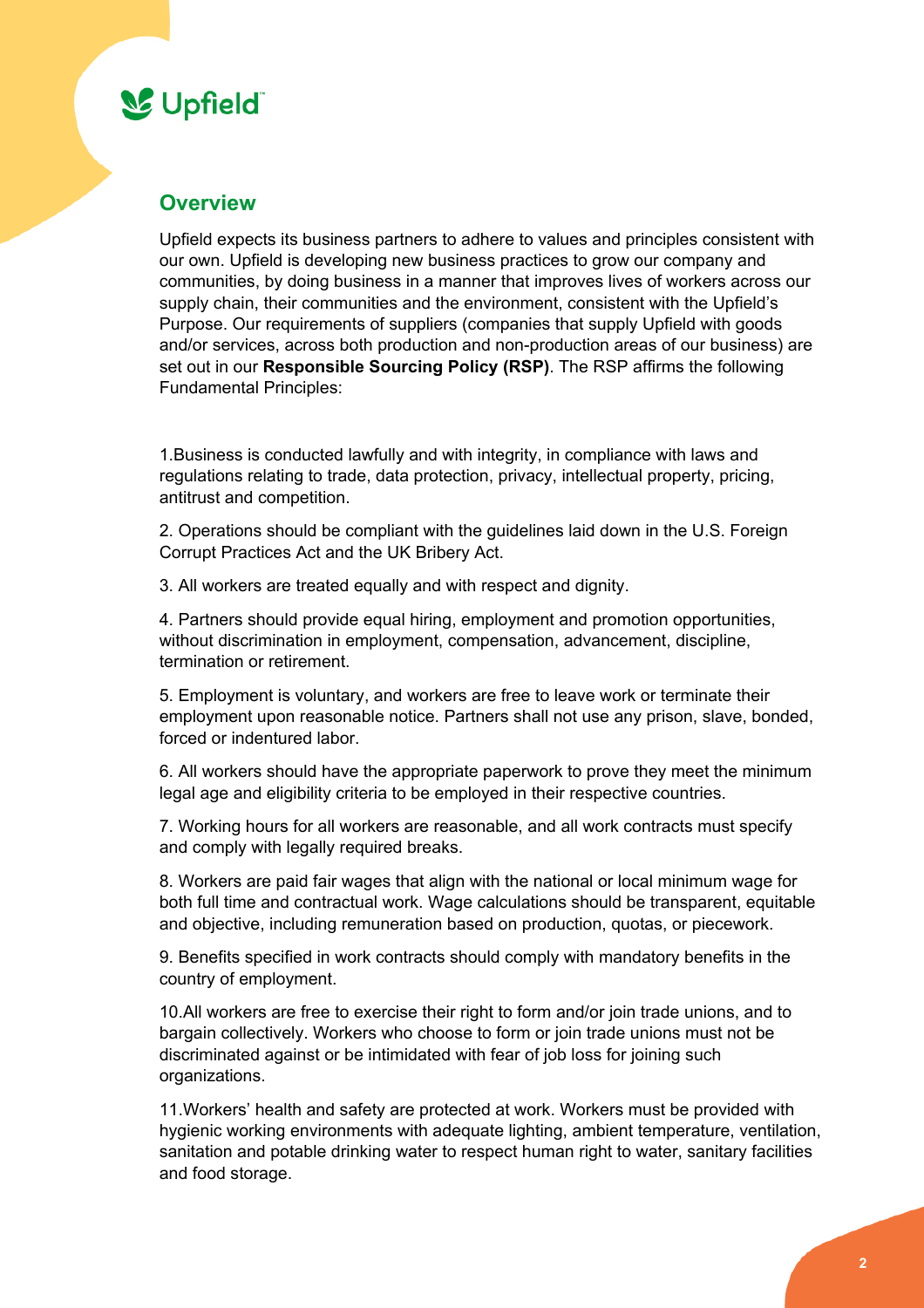### **SC** Upfield

### **Overview**

Upfield expects its business partners to adhere to values and principles consistent with our own. Upfield is developing new business practices to grow our company and communities, by doing business in a manner that improves lives of workers across our supply chain, their communities and the environment, consistent with the Upfield's Purpose. Our requirements of suppliers (companies that supply Upfield with goods and/or services, across both production and non-production areas of our business) are set out in our **Responsible Sourcing Policy (RSP)**. The RSP affirms the following Fundamental Principles:

1.Business is conducted lawfully and with integrity, in compliance with laws and regulations relating to trade, data protection, privacy, intellectual property, pricing, antitrust and competition.

2. Operations should be compliant with the guidelines laid down in the U.S. Foreign Corrupt Practices Act and the UK Bribery Act.

3. All workers are treated equally and with respect and dignity.

4. Partners should provide equal hiring, employment and promotion opportunities, without discrimination in employment, compensation, advancement, discipline, termination or retirement.

5. Employment is voluntary, and workers are free to leave work or terminate their employment upon reasonable notice. Partners shall not use any prison, slave, bonded, forced or indentured labor.

6. All workers should have the appropriate paperwork to prove they meet the minimum legal age and eligibility criteria to be employed in their respective countries.

7. Working hours for all workers are reasonable, and all work contracts must specify and comply with legally required breaks.

8. Workers are paid fair wages that align with the national or local minimum wage for both full time and contractual work. Wage calculations should be transparent, equitable and objective, including remuneration based on production, quotas, or piecework.

9. Benefits specified in work contracts should comply with mandatory benefits in the country of employment.

10.All workers are free to exercise their right to form and/or join trade unions, and to bargain collectively. Workers who choose to form or join trade unions must not be discriminated against or be intimidated with fear of job loss for joining such organizations.

11.Workers' health and safety are protected at work. Workers must be provided with hygienic working environments with adequate lighting, ambient temperature, ventilation, sanitation and potable drinking water to respect human right to water, sanitary facilities and food storage.